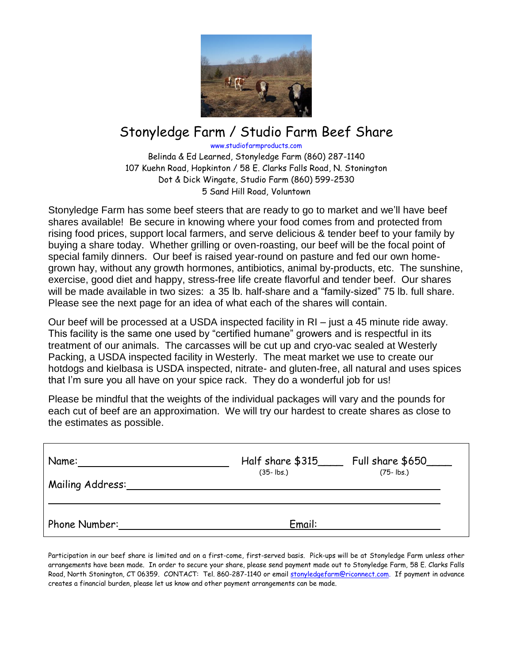

## Stonyledge Farm / Studio Farm Beef Share

www.studiofarmproducts.com

Belinda & Ed Learned, Stonyledge Farm (860) 287-1140 107 Kuehn Road, Hopkinton / 58 E. Clarks Falls Road, N. Stonington Dot & Dick Wingate, Studio Farm (860) 599-2530 5 Sand Hill Road, Voluntown

Stonyledge Farm has some beef steers that are ready to go to market and we'll have beef shares available! Be secure in knowing where your food comes from and protected from rising food prices, support local farmers, and serve delicious & tender beef to your family by buying a share today. Whether grilling or oven-roasting, our beef will be the focal point of special family dinners. Our beef is raised year-round on pasture and fed our own homegrown hay, without any growth hormones, antibiotics, animal by-products, etc. The sunshine, exercise, good diet and happy, stress-free life create flavorful and tender beef. Our shares will be made available in two sizes: a 35 lb. half-share and a "family-sized" 75 lb. full share. Please see the next page for an idea of what each of the shares will contain.

Our beef will be processed at a USDA inspected facility in RI – just a 45 minute ride away. This facility is the same one used by "certified humane" growers and is respectful in its treatment of our animals. The carcasses will be cut up and cryo-vac sealed at Westerly Packing, a USDA inspected facility in Westerly. The meat market we use to create our hotdogs and kielbasa is USDA inspected, nitrate- and gluten-free, all natural and uses spices that I'm sure you all have on your spice rack. They do a wonderful job for us!

Please be mindful that the weights of the individual packages will vary and the pounds for each cut of beef are an approximation. We will try our hardest to create shares as close to the estimates as possible.

| Name:            | Half share \$315      | Full share \$650___   |
|------------------|-----------------------|-----------------------|
| Mailing Address: | $(35 - \mathsf{lbs})$ | $(75 - \mathsf{lbs})$ |
| Phone Number:    | Email:                |                       |

Participation in our beef share is limited and on a first-come, first-served basis. Pick-ups will be at Stonyledge Farm unless other arrangements have been made. In order to secure your share, please send payment made out to Stonyledge Farm, 58 E. Clarks Falls Road, North Stonington, CT 06359. CONTACT: Tel. 860-287-1140 or emai[l stonyledgefarm@riconnect.com.](mailto:stonyledgefarm@riconnect.com) If payment in advance creates a financial burden, please let us know and other payment arrangements can be made.